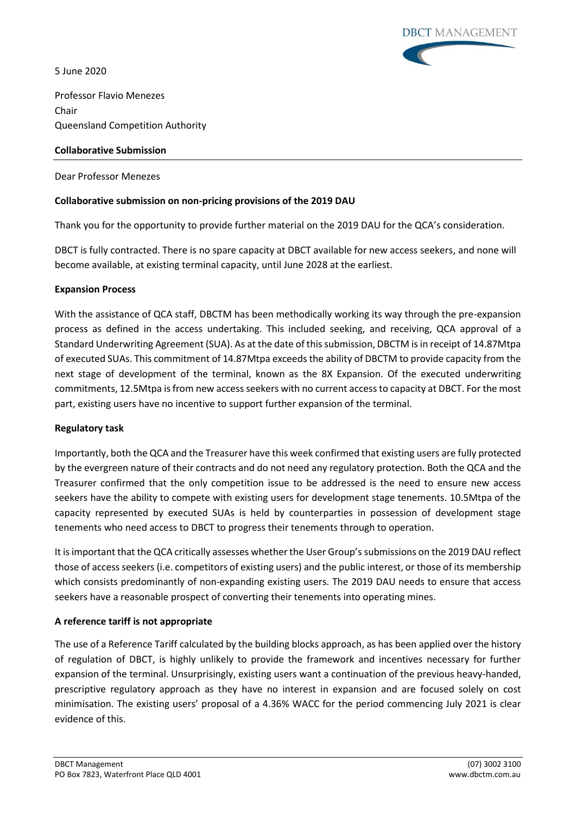5 June 2020



Professor Flavio Menezes Chair Queensland Competition Authority

### **Collaborative Submission**

Dear Professor Menezes

# **Collaborative submission on non-pricing provisions of the 2019 DAU**

Thank you for the opportunity to provide further material on the 2019 DAU for the QCA's consideration.

DBCT is fully contracted. There is no spare capacity at DBCT available for new access seekers, and none will become available, at existing terminal capacity, until June 2028 at the earliest.

#### **Expansion Process**

With the assistance of QCA staff, DBCTM has been methodically working its way through the pre-expansion process as defined in the access undertaking. This included seeking, and receiving, QCA approval of a Standard Underwriting Agreement (SUA). As at the date of this submission, DBCTM is in receipt of 14.87Mtpa of executed SUAs. This commitment of 14.87Mtpa exceeds the ability of DBCTM to provide capacity from the next stage of development of the terminal, known as the 8X Expansion. Of the executed underwriting commitments, 12.5Mtpa is from new access seekers with no current access to capacity at DBCT. For the most part, existing users have no incentive to support further expansion of the terminal.

#### **Regulatory task**

Importantly, both the QCA and the Treasurer have this week confirmed that existing users are fully protected by the evergreen nature of their contracts and do not need any regulatory protection. Both the QCA and the Treasurer confirmed that the only competition issue to be addressed is the need to ensure new access seekers have the ability to compete with existing users for development stage tenements. 10.5Mtpa of the capacity represented by executed SUAs is held by counterparties in possession of development stage tenements who need access to DBCT to progress their tenements through to operation.

It is important that the QCA critically assesses whether the User Group's submissions on the 2019 DAU reflect those of access seekers (i.e. competitors of existing users) and the public interest, or those of its membership which consists predominantly of non-expanding existing users. The 2019 DAU needs to ensure that access seekers have a reasonable prospect of converting their tenements into operating mines.

# **A reference tariff is not appropriate**

The use of a Reference Tariff calculated by the building blocks approach, as has been applied over the history of regulation of DBCT, is highly unlikely to provide the framework and incentives necessary for further expansion of the terminal. Unsurprisingly, existing users want a continuation of the previous heavy-handed, prescriptive regulatory approach as they have no interest in expansion and are focused solely on cost minimisation. The existing users' proposal of a 4.36% WACC for the period commencing July 2021 is clear evidence of this.